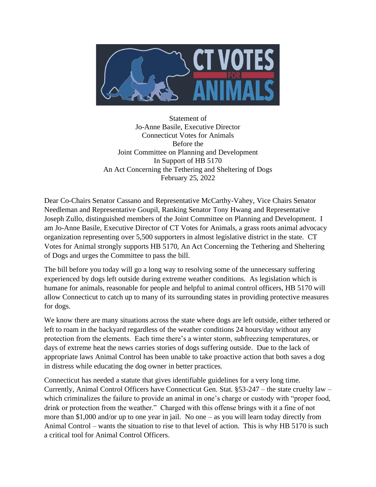

Statement of Jo-Anne Basile, Executive Director Connecticut Votes for Animals Before the Joint Committee on Planning and Development In Support of HB 5170 An Act Concerning the Tethering and Sheltering of Dogs February 25, 2022

Dear Co-Chairs Senator Cassano and Representative McCarthy-Vahey, Vice Chairs Senator Needleman and Representative Goupil, Ranking Senator Tony Hwang and Representative Joseph Zullo, distinguished members of the Joint Committee on Planning and Development. I am Jo-Anne Basile, Executive Director of CT Votes for Animals, a grass roots animal advocacy organization representing over 5,500 supporters in almost legislative district in the state. CT Votes for Animal strongly supports HB 5170, An Act Concerning the Tethering and Sheltering of Dogs and urges the Committee to pass the bill.

The bill before you today will go a long way to resolving some of the unnecessary suffering experienced by dogs left outside during extreme weather conditions. As legislation which is humane for animals, reasonable for people and helpful to animal control officers, HB 5170 will allow Connecticut to catch up to many of its surrounding states in providing protective measures for dogs.

We know there are many situations across the state where dogs are left outside, either tethered or left to roam in the backyard regardless of the weather conditions 24 hours/day without any protection from the elements. Each time there's a winter storm, subfreezing temperatures, or days of extreme heat the news carries stories of dogs suffering outside. Due to the lack of appropriate laws Animal Control has been unable to take proactive action that both saves a dog in distress while educating the dog owner in better practices.

Connecticut has needed a statute that gives identifiable guidelines for a very long time. Currently, Animal Control Officers have Connecticut Gen. Stat. §53-247 – the state cruelty law – which criminalizes the failure to provide an animal in one's charge or custody with "proper food, drink or protection from the weather." Charged with this offense brings with it a fine of not more than \$1,000 and/or up to one year in jail. No one – as you will learn today directly from Animal Control – wants the situation to rise to that level of action. This is why HB 5170 is such a critical tool for Animal Control Officers.